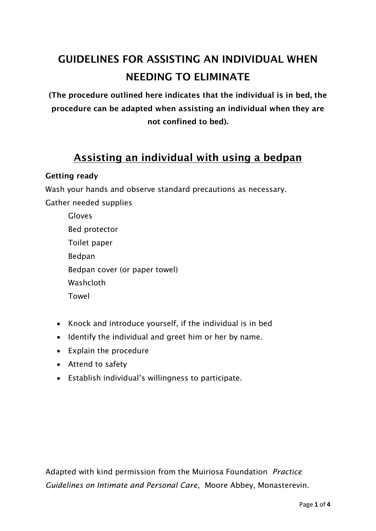# **GUIDELINES FOR ASSISTING AN INDIVIDUAL WHEN NEEDING TO ELIMINATE**

**(The procedure outlined here indicates that the individual is in bed, the procedure can be adapted when assisting an individual when they are not confined to bed).** 

# **Assisting an individual with using a bedpan**

### **Getting ready**

Wash your hands and observe standard precautions as necessary. Gather needed supplies

| Gloves                        |
|-------------------------------|
| Bed protector                 |
| Toilet paper                  |
| <b>Bedpan</b>                 |
| Bedpan cover (or paper towel) |
| Washcloth                     |
| Towel                         |

- Knock and introduce yourself, if the individual is in bed
- Identify the individual and greet him or her by name.
- Explain the procedure
- Attend to safety
- Establish individual's willingness to participate.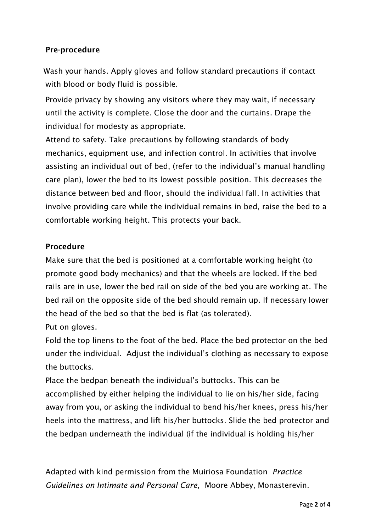# **Pre-procedure**

Wash your hands. Apply gloves and follow standard precautions if contact with blood or body fluid is possible.

Provide privacy by showing any visitors where they may wait, if necessary until the activity is complete. Close the door and the curtains. Drape the individual for modesty as appropriate.

Attend to safety. Take precautions by following standards of body mechanics, equipment use, and infection control. In activities that involve assisting an individual out of bed, (refer to the individual's manual handling care plan), lower the bed to its lowest possible position. This decreases the distance between bed and floor, should the individual fall. In activities that involve providing care while the individual remains in bed, raise the bed to a comfortable working height. This protects your back.

## **Procedure**

Make sure that the bed is positioned at a comfortable working height (to promote good body mechanics) and that the wheels are locked. If the bed rails are in use, lower the bed rail on side of the bed you are working at. The bed rail on the opposite side of the bed should remain up. If necessary lower the head of the bed so that the bed is flat (as tolerated). Put on gloves.

Fold the top linens to the foot of the bed. Place the bed protector on the bed under the individual. Adjust the individual's clothing as necessary to expose the buttocks.

Place the bedpan beneath the individual's buttocks. This can be accomplished by either helping the individual to lie on his/her side, facing away from you, or asking the individual to bend his/her knees, press his/her heels into the mattress, and lift his/her buttocks. Slide the bed protector and the bedpan underneath the individual (if the individual is holding his/her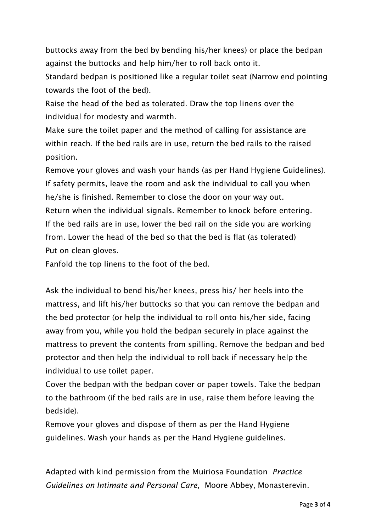buttocks away from the bed by bending his/her knees) or place the bedpan against the buttocks and help him/her to roll back onto it.

Standard bedpan is positioned like a regular toilet seat (Narrow end pointing towards the foot of the bed).

Raise the head of the bed as tolerated. Draw the top linens over the individual for modesty and warmth.

Make sure the toilet paper and the method of calling for assistance are within reach. If the bed rails are in use, return the bed rails to the raised position.

Remove your gloves and wash your hands (as per Hand Hygiene Guidelines). If safety permits, leave the room and ask the individual to call you when he/she is finished. Remember to close the door on your way out. Return when the individual signals. Remember to knock before entering. If the bed rails are in use, lower the bed rail on the side you are working from. Lower the head of the bed so that the bed is flat (as tolerated) Put on clean gloves.

Fanfold the top linens to the foot of the bed.

Ask the individual to bend his/her knees, press his/ her heels into the mattress, and lift his/her buttocks so that you can remove the bedpan and the bed protector (or help the individual to roll onto his/her side, facing away from you, while you hold the bedpan securely in place against the mattress to prevent the contents from spilling. Remove the bedpan and bed protector and then help the individual to roll back if necessary help the individual to use toilet paper.

Cover the bedpan with the bedpan cover or paper towels. Take the bedpan to the bathroom (if the bed rails are in use, raise them before leaving the bedside).

Remove your gloves and dispose of them as per the Hand Hygiene guidelines. Wash your hands as per the Hand Hygiene guidelines.